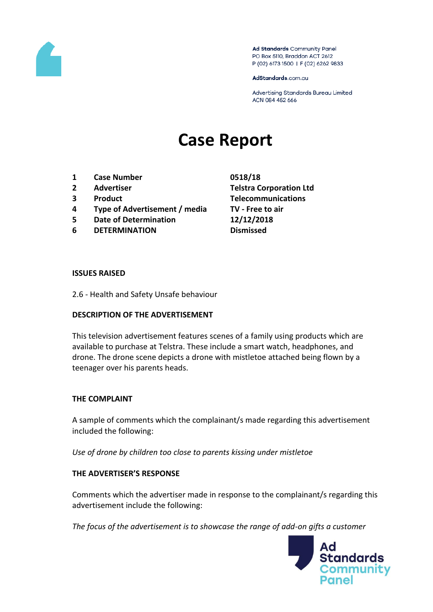

Ad Standards Community Panel PO Box 5110, Braddon ACT 2612 P (02) 6173 1500 | F (02) 6262 9833

AdStandards.com.au

Advertising Standards Bureau Limited ACN 084 452 666

# **Case Report**

- **1 Case Number 0518/18**
- 
- 
- **4 Type of Advertisement / media TV - Free to air**
- **5 Date of Determination 12/12/2018**
- **6 DETERMINATION Dismissed**

**2 Advertiser Telstra Corporation Ltd 3 Product Telecommunications**

#### **ISSUES RAISED**

2.6 - Health and Safety Unsafe behaviour

### **DESCRIPTION OF THE ADVERTISEMENT**

This television advertisement features scenes of a family using products which are available to purchase at Telstra. These include a smart watch, headphones, and drone. The drone scene depicts a drone with mistletoe attached being flown by a teenager over his parents heads.

### **THE COMPLAINT**

A sample of comments which the complainant/s made regarding this advertisement included the following:

*Use of drone by children too close to parents kissing under mistletoe*

### **THE ADVERTISER'S RESPONSE**

Comments which the advertiser made in response to the complainant/s regarding this advertisement include the following:

*The focus of the advertisement is to showcase the range of add-on gifts a customer* 

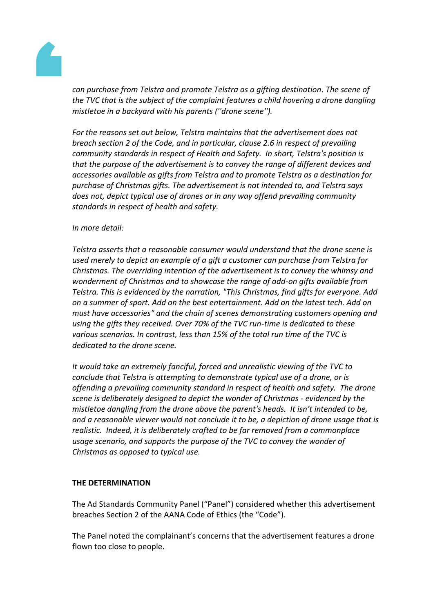

*can purchase from Telstra and promote Telstra as a gifting destination. The scene of the TVC that is the subject of the complaint features a child hovering a drone dangling mistletoe in a backyard with his parents (''drone scene'').*

*For the reasons set out below, Telstra maintains that the advertisement does not breach section 2 of the Code, and in particular, clause 2.6 in respect of prevailing community standards in respect of Health and Safety. In short, Telstra's position is that the purpose of the advertisement is to convey the range of different devices and accessories available as gifts from Telstra and to promote Telstra as a destination for purchase of Christmas gifts. The advertisement is not intended to, and Telstra says does not, depict typical use of drones or in any way offend prevailing community standards in respect of health and safety.*

## *In more detail:*

*Telstra asserts that a reasonable consumer would understand that the drone scene is used merely to depict an example of a gift a customer can purchase from Telstra for Christmas. The overriding intention of the advertisement is to convey the whimsy and wonderment of Christmas and to showcase the range of add-on gifts available from Telstra. This is evidenced by the narration, "This Christmas, find gifts for everyone. Add on a summer of sport. Add on the best entertainment. Add on the latest tech. Add on must have accessories" and the chain of scenes demonstrating customers opening and using the gifts they received. Over 70% of the TVC run-time is dedicated to these various scenarios. In contrast, less than 15% of the total run time of the TVC is dedicated to the drone scene.*

*It would take an extremely fanciful, forced and unrealistic viewing of the TVC to conclude that Telstra is attempting to demonstrate typical use of a drone, or is offending a prevailing community standard in respect of health and safety. The drone scene is deliberately designed to depict the wonder of Christmas - evidenced by the mistletoe dangling from the drone above the parent's heads. It isn't intended to be, and a reasonable viewer would not conclude it to be, a depiction of drone usage that is realistic. Indeed, it is deliberately crafted to be far removed from a commonplace usage scenario, and supports the purpose of the TVC to convey the wonder of Christmas as opposed to typical use.*

### **THE DETERMINATION**

The Ad Standards Community Panel ("Panel") considered whether this advertisement breaches Section 2 of the AANA Code of Ethics (the "Code").

The Panel noted the complainant's concerns that the advertisement features a drone flown too close to people.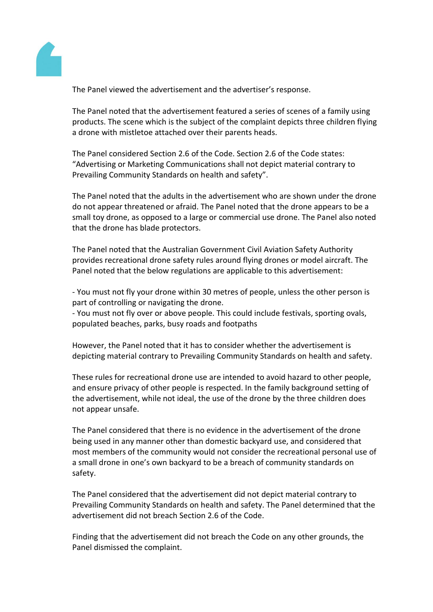

The Panel viewed the advertisement and the advertiser's response.

The Panel noted that the advertisement featured a series of scenes of a family using products. The scene which is the subject of the complaint depicts three children flying a drone with mistletoe attached over their parents heads.

The Panel considered Section 2.6 of the Code. Section 2.6 of the Code states: "Advertising or Marketing Communications shall not depict material contrary to Prevailing Community Standards on health and safety".

The Panel noted that the adults in the advertisement who are shown under the drone do not appear threatened or afraid. The Panel noted that the drone appears to be a small toy drone, as opposed to a large or commercial use drone. The Panel also noted that the drone has blade protectors.

The Panel noted that the Australian Government Civil Aviation Safety Authority provides recreational drone safety rules around flying drones or model aircraft. The Panel noted that the below regulations are applicable to this advertisement:

- You must not fly your drone within 30 metres of people, unless the other person is part of controlling or navigating the drone.

- You must not fly over or above people. This could include festivals, sporting ovals, populated beaches, parks, busy roads and footpaths

However, the Panel noted that it has to consider whether the advertisement is depicting material contrary to Prevailing Community Standards on health and safety.

These rules for recreational drone use are intended to avoid hazard to other people, and ensure privacy of other people is respected. In the family background setting of the advertisement, while not ideal, the use of the drone by the three children does not appear unsafe.

The Panel considered that there is no evidence in the advertisement of the drone being used in any manner other than domestic backyard use, and considered that most members of the community would not consider the recreational personal use of a small drone in one's own backyard to be a breach of community standards on safety.

The Panel considered that the advertisement did not depict material contrary to Prevailing Community Standards on health and safety. The Panel determined that the advertisement did not breach Section 2.6 of the Code.

Finding that the advertisement did not breach the Code on any other grounds, the Panel dismissed the complaint.